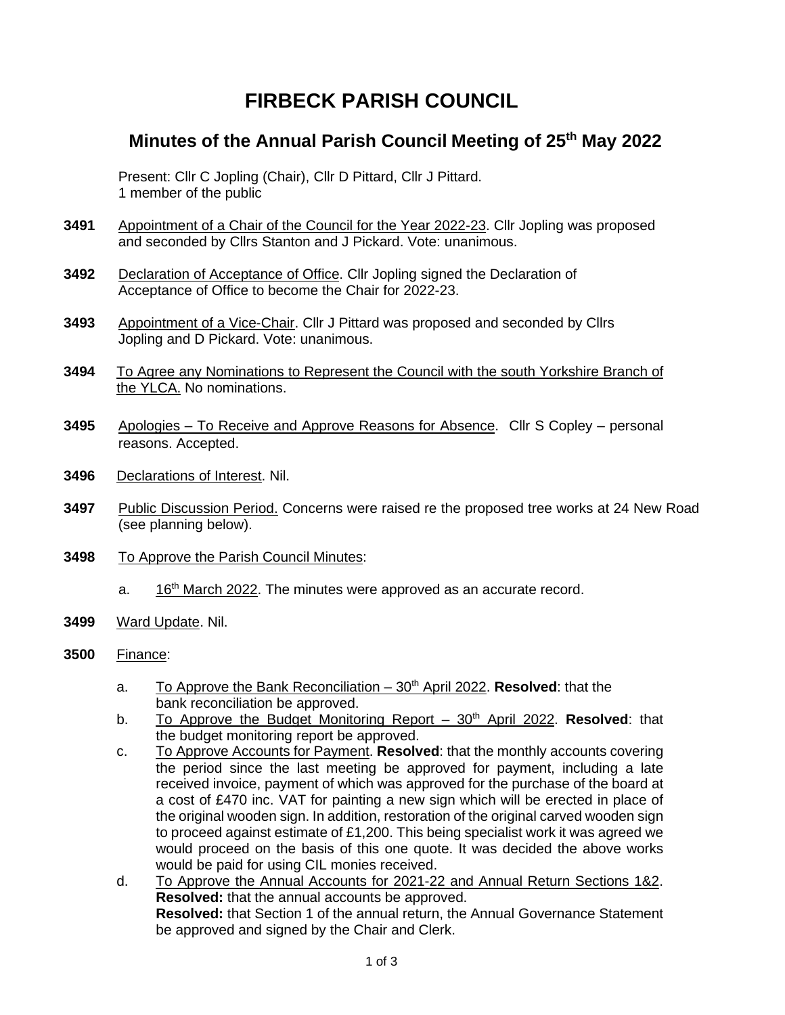## **FIRBECK PARISH COUNCIL**

## **Minutes of the Annual Parish Council Meeting of 25th May 2022**

Present: Cllr C Jopling (Chair), Cllr D Pittard, Cllr J Pittard. 1 member of the public

- **3491** Appointment of a Chair of the Council for the Year 2022-23. Cllr Jopling was proposed and seconded by Cllrs Stanton and J Pickard. Vote: unanimous.
- **3492** Declaration of Acceptance of Office. Cllr Jopling signed the Declaration of Acceptance of Office to become the Chair for 2022-23.
- **3493** Appointment of a Vice-Chair. Cllr J Pittard was proposed and seconded by Cllrs Jopling and D Pickard. Vote: unanimous.
- **3494** To Agree any Nominations to Represent the Council with the south Yorkshire Branch of the YLCA. No nominations.
- **3495** Apologies To Receive and Approve Reasons for Absence. Cllr S Copley personal reasons. Accepted.
- **3496** Declarations of Interest. Nil.
- **3497** Public Discussion Period. Concerns were raised re the proposed tree works at 24 New Road (see planning below).
- **3498** To Approve the Parish Council Minutes:
	- a. 16<sup>th</sup> March 2022. The minutes were approved as an accurate record.
- **3499** Ward Update. Nil.
- **3500** Finance:
	- a. To Approve the Bank Reconciliation 30<sup>th</sup> April 2022. **Resolved**: that the bank reconciliation be approved.
	- b. To Approve the Budget Monitoring Report 30<sup>th</sup> April 2022. **Resolved**: that the budget monitoring report be approved.
	- c. To Approve Accounts for Payment. **Resolved**: that the monthly accounts covering the period since the last meeting be approved for payment, including a late received invoice, payment of which was approved for the purchase of the board at a cost of £470 inc. VAT for painting a new sign which will be erected in place of the original wooden sign. In addition, restoration of the original carved wooden sign to proceed against estimate of £1,200. This being specialist work it was agreed we would proceed on the basis of this one quote. It was decided the above works would be paid for using CIL monies received.
	- d. To Approve the Annual Accounts for 2021-22 and Annual Return Sections 1&2. **Resolved:** that the annual accounts be approved. **Resolved:** that Section 1 of the annual return, the Annual Governance Statement be approved and signed by the Chair and Clerk.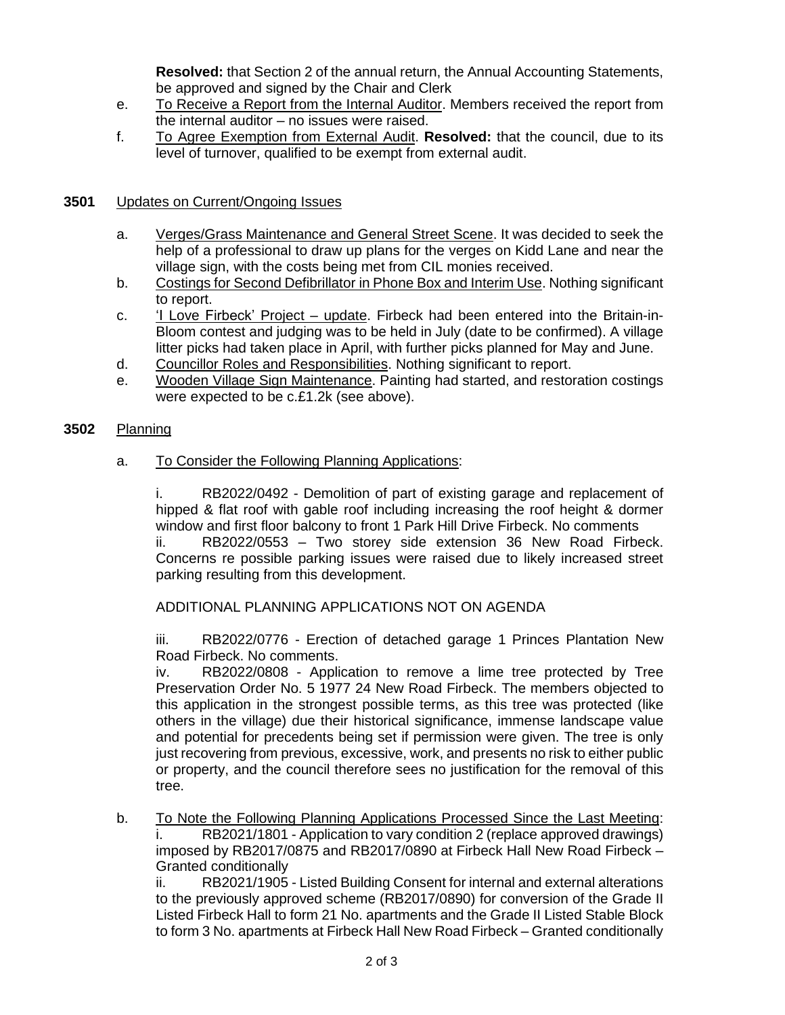**Resolved:** that Section 2 of the annual return, the Annual Accounting Statements, be approved and signed by the Chair and Clerk

- e. To Receive a Report from the Internal Auditor. Members received the report from the internal auditor – no issues were raised.
- f. To Agree Exemption from External Audit. **Resolved:** that the council, due to its level of turnover, qualified to be exempt from external audit.

## **3501** Updates on Current/Ongoing Issues

- a. Verges/Grass Maintenance and General Street Scene. It was decided to seek the help of a professional to draw up plans for the verges on Kidd Lane and near the village sign, with the costs being met from CIL monies received.
- b. Costings for Second Defibrillator in Phone Box and Interim Use. Nothing significant to report.
- c. 'I Love Firbeck' Project update. Firbeck had been entered into the Britain-in-Bloom contest and judging was to be held in July (date to be confirmed). A village litter picks had taken place in April, with further picks planned for May and June.
- d. Councillor Roles and Responsibilities. Nothing significant to report.
- e. Wooden Village Sign Maintenance. Painting had started, and restoration costings were expected to be c.£1.2k (see above).

## **3502** Planning

a. To Consider the Following Planning Applications:

i. RB2022/0492 - Demolition of part of existing garage and replacement of hipped & flat roof with gable roof including increasing the roof height & dormer window and first floor balcony to front 1 Park Hill Drive Firbeck. No comments ii. RB2022/0553 – Two storey side extension 36 New Road Firbeck. Concerns re possible parking issues were raised due to likely increased street parking resulting from this development.

ADDITIONAL PLANNING APPLICATIONS NOT ON AGENDA

iii. RB2022/0776 - Erection of detached garage 1 Princes Plantation New Road Firbeck. No comments.

iv. RB2022/0808 - Application to remove a lime tree protected by Tree Preservation Order No. 5 1977 24 New Road Firbeck. The members objected to this application in the strongest possible terms, as this tree was protected (like others in the village) due their historical significance, immense landscape value and potential for precedents being set if permission were given. The tree is only just recovering from previous, excessive, work, and presents no risk to either public or property, and the council therefore sees no justification for the removal of this tree.

b. To Note the Following Planning Applications Processed Since the Last Meeting:

RB2021/1801 - Application to vary condition 2 (replace approved drawings) imposed by RB2017/0875 and RB2017/0890 at Firbeck Hall New Road Firbeck – Granted conditionally

ii. RB2021/1905 - Listed Building Consent for internal and external alterations to the previously approved scheme (RB2017/0890) for conversion of the Grade II Listed Firbeck Hall to form 21 No. apartments and the Grade II Listed Stable Block to form 3 No. apartments at Firbeck Hall New Road Firbeck – Granted conditionally